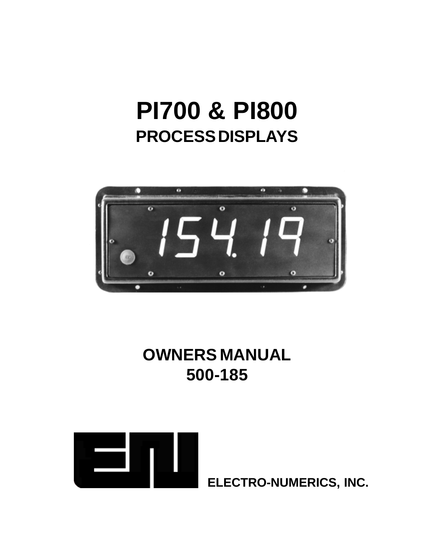# **PI700 & PI800 PROCESS DISPLAYS**



### **OWNERS MANUAL 500-185**



**ELECTRO-NUMERICS, INC.**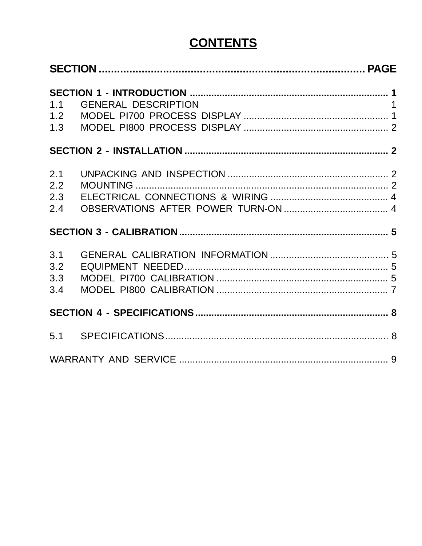### **CONTENTS**

| 1.1<br>1.2<br>1.3        | <b>GENERAL DESCRIPTION</b> | $\overline{1}$ |
|--------------------------|----------------------------|----------------|
|                          |                            |                |
| 2.1<br>2.2<br>2.3<br>2.4 |                            |                |
|                          |                            |                |
| 3.1<br>3.2<br>3.3<br>3.4 |                            |                |
|                          |                            |                |
|                          |                            |                |
|                          |                            |                |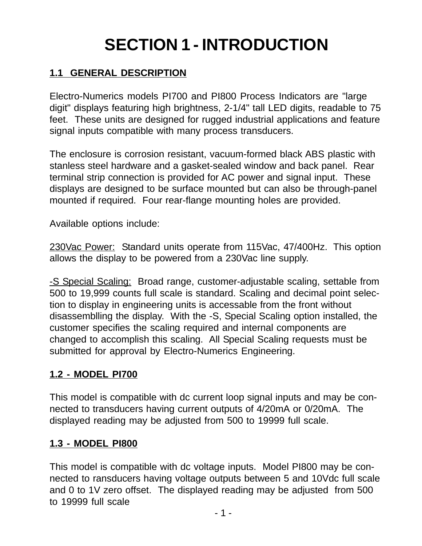## **SECTION 1 - INTRODUCTION**

#### **1.1 GENERAL DESCRIPTION**

Electro-Numerics models PI700 and PI800 Process Indicators are "large digit" displays featuring high brightness, 2-1/4" tall LED digits, readable to 75 feet. These units are designed for rugged industrial applications and feature signal inputs compatible with many process transducers.

The enclosure is corrosion resistant, vacuum-formed black ABS plastic with stanless steel hardware and a gasket-sealed window and back panel. Rear terminal strip connection is provided for AC power and signal input. These displays are designed to be surface mounted but can also be through-panel mounted if required. Four rear-flange mounting holes are provided.

Available options include:

230Vac Power: Standard units operate from 115Vac, 47/400Hz. This option allows the display to be powered from a 230Vac line supply.

-S Special Scaling: Broad range, customer-adjustable scaling, settable from 500 to 19,999 counts full scale is standard. Scaling and decimal point selection to display in engineering units is accessable from the front without disassemblling the display. With the -S, Special Scaling option installed, the customer specifies the scaling required and internal components are changed to accomplish this scaling. All Special Scaling requests must be submitted for approval by Electro-Numerics Engineering.

#### **1.2 - MODEL PI700**

This model is compatible with dc current loop signal inputs and may be connected to transducers having current outputs of 4/20mA or 0/20mA. The displayed reading may be adjusted from 500 to 19999 full scale.

#### **1.3 - MODEL PI800**

This model is compatible with dc voltage inputs. Model PI800 may be connected to ransducers having voltage outputs between 5 and 10Vdc full scale and 0 to 1V zero offset. The displayed reading may be adjusted from 500 to 19999 full scale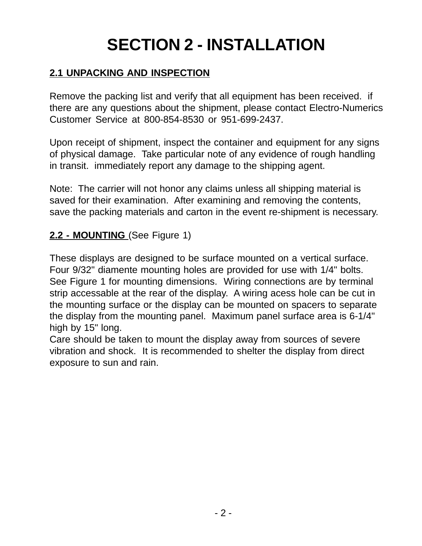## **SECTION 2 - INSTALLATION**

#### **2.1 UNPACKING AND INSPECTION**

Remove the packing list and verify that all equipment has been received. if there are any questions about the shipment, please contact Electro-Numerics Customer Service at 800-854-8530 or 951-699-2437.

Upon receipt of shipment, inspect the container and equipment for any signs of physical damage. Take particular note of any evidence of rough handling in transit. immediately report any damage to the shipping agent.

Note: The carrier will not honor any claims unless all shipping material is saved for their examination. After examining and removing the contents, save the packing materials and carton in the event re-shipment is necessary.

#### **2.2 - MOUNTING** (See Figure 1)

These displays are designed to be surface mounted on a vertical surface. Four 9/32" diamente mounting holes are provided for use with 1/4" bolts. See Figure 1 for mounting dimensions. Wiring connections are by terminal strip accessable at the rear of the display. A wiring acess hole can be cut in the mounting surface or the display can be mounted on spacers to separate the display from the mounting panel. Maximum panel surface area is 6-1/4" high by 15" long.

Care should be taken to mount the display away from sources of severe vibration and shock. It is recommended to shelter the display from direct exposure to sun and rain.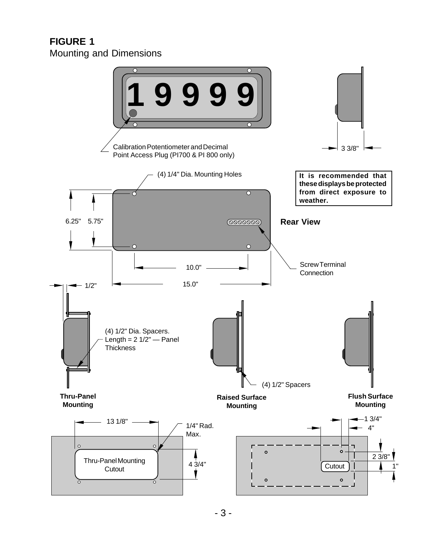#### **FIGURE 1** Mounting and Dimensions

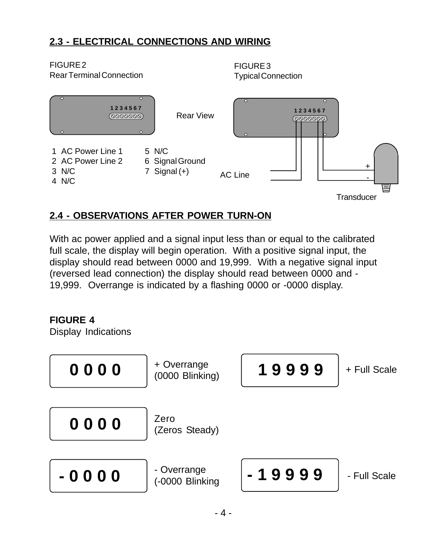#### **2.3 - ELECTRICAL CONNECTIONS AND WIRING**



#### **2.4 - OBSERVATIONS AFTER POWER TURN-ON**

With ac power applied and a signal input less than or equal to the calibrated full scale, the display will begin operation. With a positive signal input, the display should read between 0000 and 19,999. With a negative signal input (reversed lead connection) the display should read between 0000 and - 19,999. Overrange is indicated by a flashing 0000 or -0000 display.

#### **FIGURE 4**

Display Indications

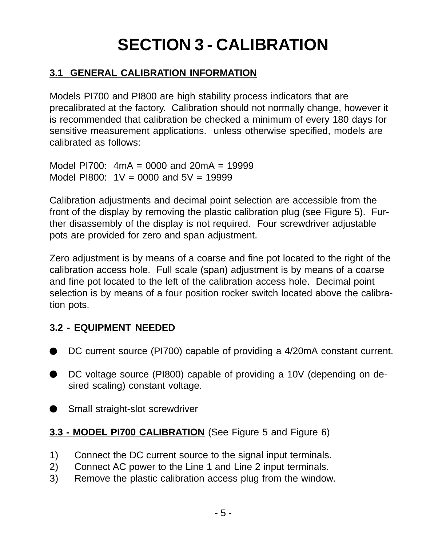## **SECTION 3 - CALIBRATION**

#### **3.1 GENERAL CALIBRATION INFORMATION**

Models PI700 and PI800 are high stability process indicators that are precalibrated at the factory. Calibration should not normally change, however it is recommended that calibration be checked a minimum of every 180 days for sensitive measurement applications. unless otherwise specified, models are calibrated as follows:

Model PI700: 4mA = 0000 and 20mA = 19999 Model PI800:  $1V = 0000$  and  $5V = 19999$ 

Calibration adjustments and decimal point selection are accessible from the front of the display by removing the plastic calibration plug (see Figure 5). Further disassembly of the display is not required. Four screwdriver adjustable pots are provided for zero and span adjustment.

Zero adjustment is by means of a coarse and fine pot located to the right of the calibration access hole. Full scale (span) adjustment is by means of a coarse and fine pot located to the left of the calibration access hole. Decimal point selection is by means of a four position rocker switch located above the calibration pots.

#### **3.2 - EQUIPMENT NEEDED**

- DC current source (PI700) capable of providing a 4/20mA constant current.
- DC voltage source (PI800) capable of providing a 10V (depending on desired scaling) constant voltage.

Small straight-slot screwdriver

#### **3.3 - MODEL PI700 CALIBRATION** (See Figure 5 and Figure 6)

- 1) Connect the DC current source to the signal input terminals.
- 2) Connect AC power to the Line 1 and Line 2 input terminals.
- 3) Remove the plastic calibration access plug from the window.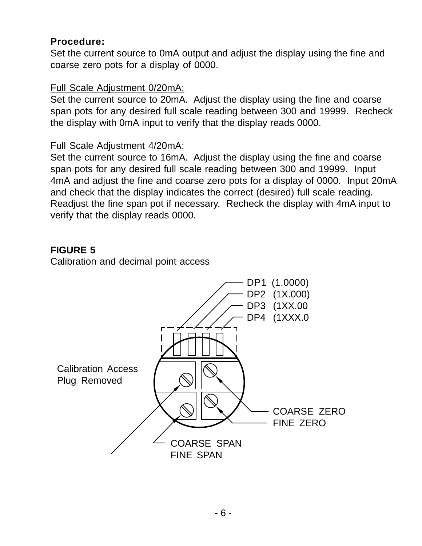#### **Procedure:**

Set the current source to 0mA output and adjust the display using the fine and coarse zero pots for a display of 0000.

#### Full Scale Adjustment 0/20mA:

Set the current source to 20mA. Adjust the display using the fine and coarse span pots for any desired full scale reading between 300 and 19999. Recheck the display with 0mA input to verify that the display reads 0000.

#### Full Scale Adjustment 4/20mA:

Set the current source to 16mA. Adjust the display using the fine and coarse span pots for any desired full scale reading between 300 and 19999. Input 4mA and adjust the fine and coarse zero pots for a display of 0000. Input 20mA and check that the display indicates the correct (desired) full scale reading. Readjust the fine span pot if necessary. Recheck the display with 4mA input to verify that the display reads 0000.

#### **FIGURE 5**

Calibration and decimal point access

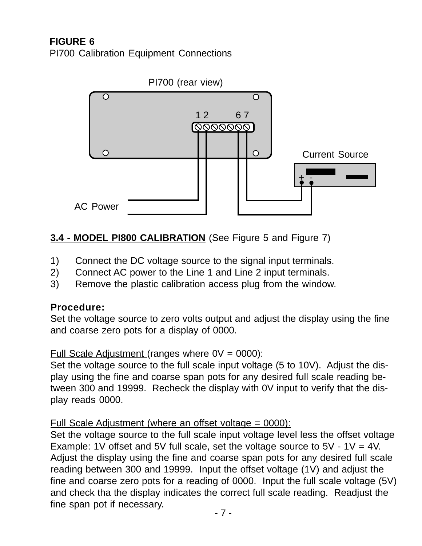#### **FIGURE 6** PI700 Calibration Equipment Connections



#### **3.4 - MODEL PI800 CALIBRATION** (See Figure 5 and Figure 7)

- 1) Connect the DC voltage source to the signal input terminals.
- 2) Connect AC power to the Line 1 and Line 2 input terminals.
- 3) Remove the plastic calibration access plug from the window.

#### **Procedure:**

Set the voltage source to zero volts output and adjust the display using the fine and coarse zero pots for a display of 0000.

Full Scale Adjustment (ranges where  $0V = 0000$ ):

Set the voltage source to the full scale input voltage (5 to 10V). Adjust the display using the fine and coarse span pots for any desired full scale reading between 300 and 19999. Recheck the display with 0V input to verify that the display reads 0000.

#### Full Scale Adjustment (where an offset voltage = 0000):

Set the voltage source to the full scale input voltage level less the offset voltage Example: 1V offset and 5V full scale, set the voltage source to  $5V - 1V = 4V$ . Adjust the display using the fine and coarse span pots for any desired full scale reading between 300 and 19999. Input the offset voltage (1V) and adjust the fine and coarse zero pots for a reading of 0000. Input the full scale voltage (5V) and check tha the display indicates the correct full scale reading. Readjust the fine span pot if necessary.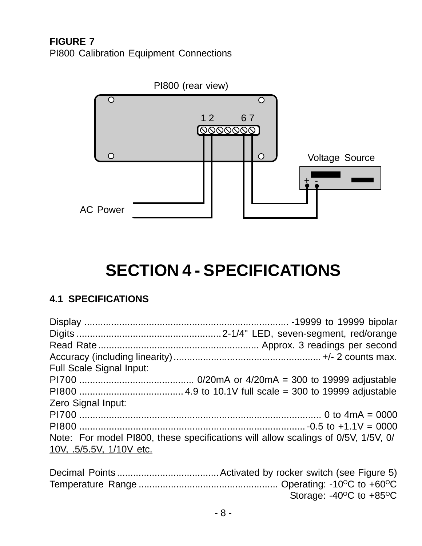**FIGURE 7** PI800 Calibration Equipment Connections



### **SECTION 4 - SPECIFICATIONS**

#### **4.1 SPECIFICATIONS**

| <b>Full Scale Signal Input:</b> |                                                                                   |
|---------------------------------|-----------------------------------------------------------------------------------|
|                                 |                                                                                   |
|                                 |                                                                                   |
| Zero Signal Input:              |                                                                                   |
|                                 |                                                                                   |
|                                 |                                                                                   |
|                                 | Note: For model PI800, these specifications will allow scalings of 0/5V, 1/5V, 0/ |
| 10V, .5/5.5V, 1/10V etc.        |                                                                                   |
|                                 |                                                                                   |

| Storage: $-40^{\circ}$ C to $+85^{\circ}$ C |
|---------------------------------------------|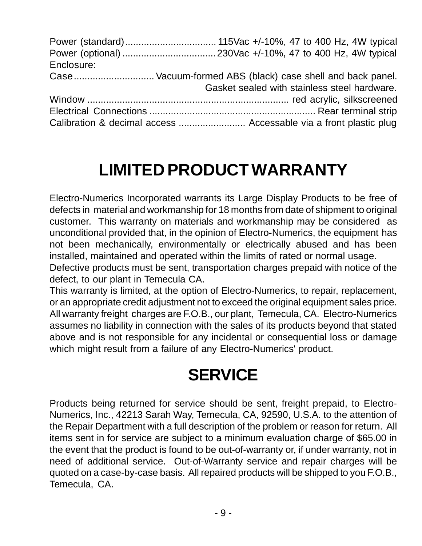| Enclosure: |                                                                   |
|------------|-------------------------------------------------------------------|
|            |                                                                   |
|            | Gasket sealed with stainless steel hardware.                      |
|            |                                                                   |
|            |                                                                   |
|            | Calibration & decimal access  Accessable via a front plastic plug |

### **LIMITED PRODUCT WARRANTY**

Electro-Numerics Incorporated warrants its Large Display Products to be free of defects in material and workmanship for 18 months from date of shipment to original customer. This warranty on materials and workmanship may be considered as unconditional provided that, in the opinion of Electro-Numerics, the equipment has not been mechanically, environmentally or electrically abused and has been installed, maintained and operated within the limits of rated or normal usage.

Defective products must be sent, transportation charges prepaid with notice of the defect, to our plant in Temecula CA.

This warranty is limited, at the option of Electro-Numerics, to repair, replacement, or an appropriate credit adjustment not to exceed the original equipment sales price. All warranty freight charges are F.O.B., our plant, Temecula, CA. Electro-Numerics assumes no liability in connection with the sales of its products beyond that stated above and is not responsible for any incidental or consequential loss or damage which might result from a failure of any Electro-Numerics' product.

### **SERVICE**

Products being returned for service should be sent, freight prepaid, to Electro-Numerics, Inc., 42213 Sarah Way, Temecula, CA, 92590, U.S.A. to the attention of the Repair Department with a full description of the problem or reason for return. All items sent in for service are subject to a minimum evaluation charge of \$65.00 in the event that the product is found to be out-of-warranty or, if under warranty, not in need of additional service. Out-of-Warranty service and repair charges will be quoted on a case-by-case basis. All repaired products will be shipped to you F.O.B., Temecula, CA.